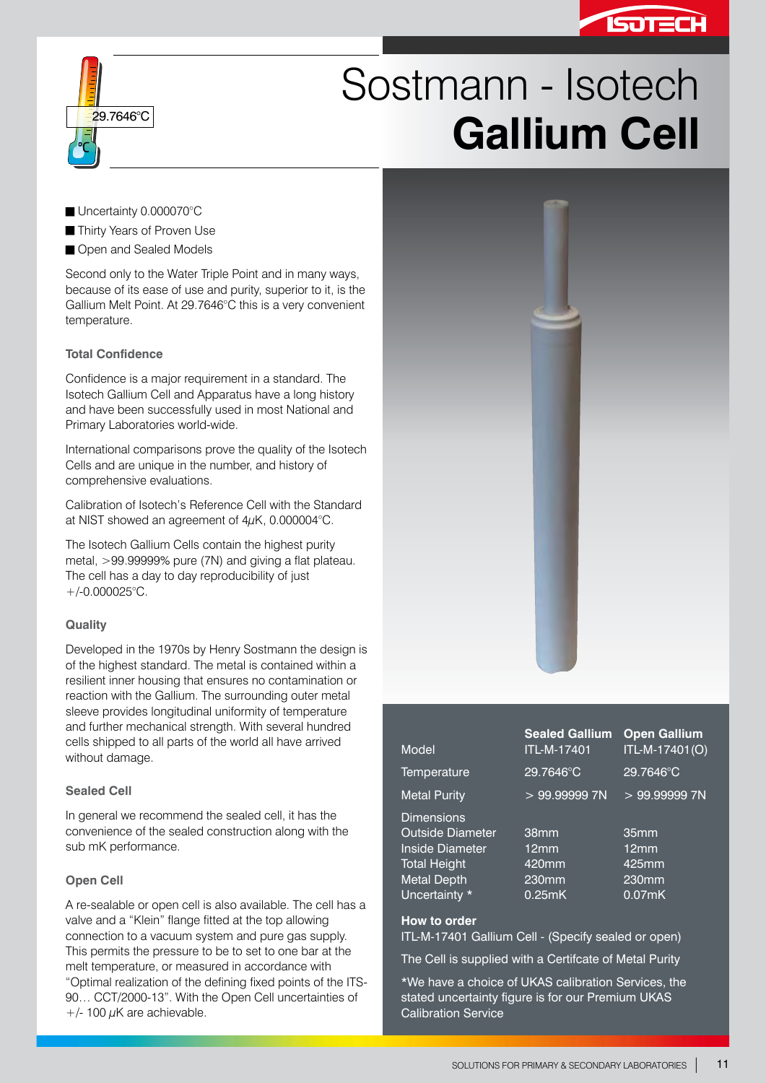



# Sostmann - Isotech **Gallium Cell**

- Uncertainty 0.000070°C
- Thirty Years of Proven Use
- Open and Sealed Models

Second only to the Water Triple Point and in many ways, because of its ease of use and purity, superior to it, is the Gallium Melt Point. At 29.7646°C this is a very convenient temperature.

## **Total Confidence**

Confidence is a major requirement in a standard. The Isotech Gallium Cell and Apparatus have a long history and have been successfully used in most National and Primary Laboratories world-wide.

International comparisons prove the quality of the Isotech Cells and are unique in the number, and history of comprehensive evaluations.

Calibration of Isotech's Reference Cell with the Standard at NIST showed an agreement of 4µK, 0.000004°C.

The Isotech Gallium Cells contain the highest purity metal, >99.99999% pure (7N) and giving a flat plateau. The cell has a day to day reproducibility of just +/-0.000025°C.

#### **Quality**

Developed in the 1970s by Henry Sostmann the design is of the highest standard. The metal is contained within a resilient inner housing that ensures no contamination or reaction with the Gallium. The surrounding outer metal sleeve provides longitudinal uniformity of temperature and further mechanical strength. With several hundred cells shipped to all parts of the world all have arrived without damage.

#### **Sealed Cell**

In general we recommend the sealed cell, it has the convenience of the sealed construction along with the sub mK performance.

## **Open Cell**

A re-sealable or open cell is also available. The cell has a valve and a "Klein" flange fitted at the top allowing connection to a vacuum system and pure gas supply. This permits the pressure to be to set to one bar at the melt temperature, or measured in accordance with "Optimal realization of the defining fixed points of the ITS-90… CCT/2000-13". With the Open Cell uncertainties of  $+/-$  100  $\mu$ K are achievable.



| Model                                        | <b>Sealed Gallium</b><br>ITL-M-17401 | <b>Open Gallium</b><br>ITL-M-17401(O) |
|----------------------------------------------|--------------------------------------|---------------------------------------|
| Temperature                                  | 29.7646°C                            | 29.7646°C                             |
| <b>Metal Purity</b>                          | >99.999997N                          | >99.999997N                           |
| <b>Dimensions</b><br><b>Outside Diameter</b> | 38mm                                 | 35mm                                  |
| Inside Diameter                              | 12mm                                 | 12mm                                  |
| <b>Total Height</b>                          | 420mm                                | 425mm                                 |
| <b>Metal Depth</b>                           | 230mm                                | 230mm                                 |
| Uncertainty *                                | 0.25mK                               | $0.07$ mK                             |

#### **How to order**

ITL-M-17401 Gallium Cell - (Specify sealed or open)

The Cell is supplied with a Certifcate of Metal Purity

\*We have a choice of UKAS calibration Services, the stated uncertainty figure is for our Premium UKAS Calibration Service